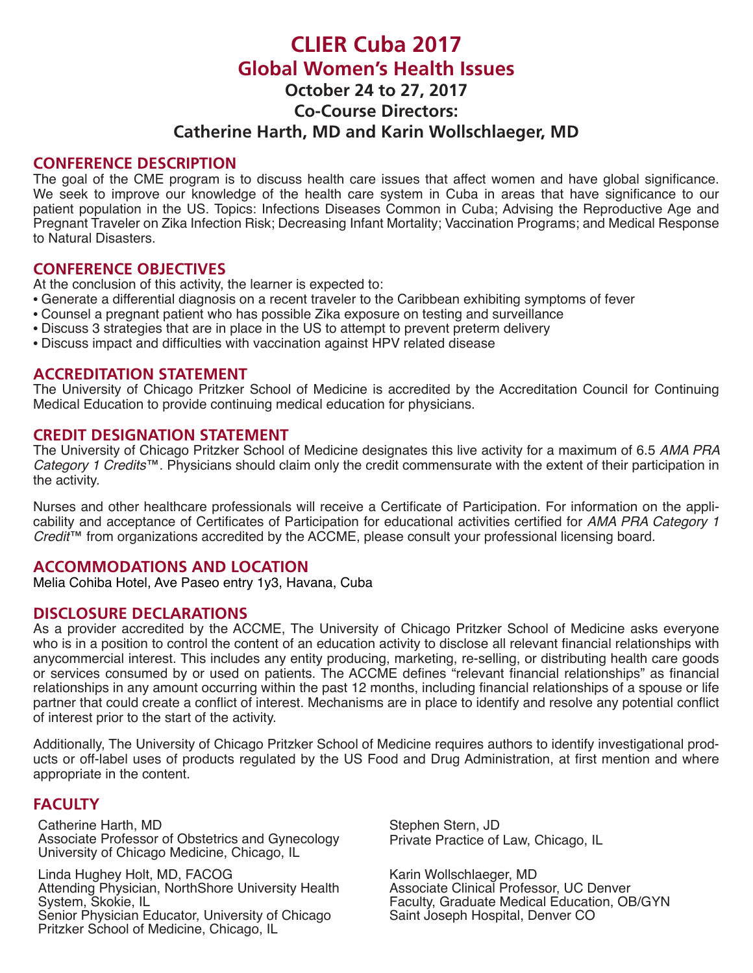# **CLIER Cuba 2017 Global Women's Health Issues October 24 to 27, 2017**

**Co-Course Directors:** 

# **Catherine Harth, MD and Karin Wollschlaeger, MD**

#### **CONFERENCE DESCRIPTION**

The goal of the CME program is to discuss health care issues that affect women and have global significance. We seek to improve our knowledge of the health care system in Cuba in areas that have significance to our patient population in the US. Topics: Infections Diseases Common in Cuba; Advising the Reproductive Age and Pregnant Traveler on Zika Infection Risk; Decreasing Infant Mortality; Vaccination Programs; and Medical Response to Natural Disasters.

#### **CONFERENCE OBJECTIVES**

At the conclusion of this activity, the learner is expected to:

- Generate a differential diagnosis on a recent traveler to the Caribbean exhibiting symptoms of fever
- Counsel a pregnant patient who has possible Zika exposure on testing and surveillance
- Discuss 3 strategies that are in place in the US to attempt to prevent preterm delivery
- Discuss impact and difficulties with vaccination against HPV related disease

#### **ACCREDITATION STATEMENT**

The University of Chicago Pritzker School of Medicine is accredited by the Accreditation Council for Continuing Medical Education to provide continuing medical education for physicians.

#### **CREDIT DESIGNATION STATEMENT**

The University of Chicago Pritzker School of Medicine designates this live activity for a maximum of 6.5 *AMA PRA Category 1 Credits*™. Physicians should claim only the credit commensurate with the extent of their participation in the activity.

Nurses and other healthcare professionals will receive a Certificate of Participation. For information on the applicability and acceptance of Certificates of Participation for educational activities certified for *AMA PRA Category 1 Credit*™ from organizations accredited by the ACCME, please consult your professional licensing board.

# **ACCOMMODATIONS AND LOCATION**

Melia Cohiba Hotel, Ave Paseo entry 1y3, Havana, Cuba

# **DISCLOSURE DECLARATIONS**

As a provider accredited by the ACCME, The University of Chicago Pritzker School of Medicine asks everyone who is in a position to control the content of an education activity to disclose all relevant financial relationships with anycommercial interest. This includes any entity producing, marketing, re-selling, or distributing health care goods or services consumed by or used on patients. The ACCME defines "relevant financial relationships" as financial relationships in any amount occurring within the past 12 months, including financial relationships of a spouse or life partner that could create a conflict of interest. Mechanisms are in place to identify and resolve any potential conflict of interest prior to the start of the activity.

Additionally, The University of Chicago Pritzker School of Medicine requires authors to identify investigational products or off-label uses of products regulated by the US Food and Drug Administration, at first mention and where appropriate in the content.

# **FACULTY**

Catherine Harth, MD Associate Professor of Obstetrics and Gynecology University of Chicago Medicine, Chicago, IL

Linda Hughey Holt, MD, FACOG Attending Physician, NorthShore University Health System, Skokie, IL Senior Physician Educator, University of Chicago Pritzker School of Medicine, Chicago, IL

Stephen Stern, JD Private Practice of Law, Chicago, IL

Karin Wollschlaeger, MD Associate Clinical Professor, UC Denver Faculty, Graduate Medical Education, OB/GYN Saint Joseph Hospital, Denver CO